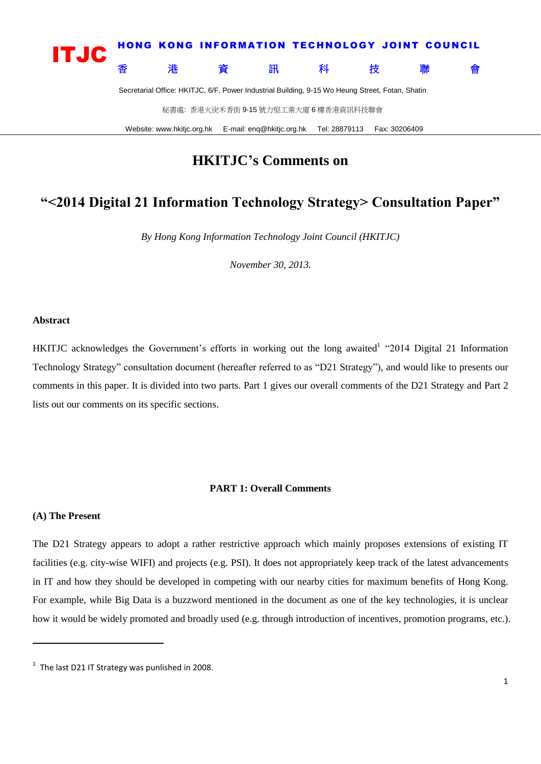

Website: www.hkitjc.org.hk E-mail: enq@hkitjc.org.hk Tel: 28879113 Fax: 30206409

### **HKITJC's Comments on**

## **"<2014 Digital 21 Information Technology Strategy> Consultation Paper"**

*By Hong Kong Information Technology Joint Council (HKITJC)*

*November 30, 2013.*

#### **Abstract**

HKITJC acknowledges the Government's efforts in working out the long awaited<sup>1</sup> "2014 Digital 21 Information Technology Strategy" consultation document (hereafter referred to as "D21 Strategy"), and would like to presents our comments in this paper. It is divided into two parts. Part 1 gives our overall comments of the D21 Strategy and Part 2 lists out our comments on its specific sections.

#### **PART 1: Overall Comments**

#### **(A) The Present**

1

The D21 Strategy appears to adopt a rather restrictive approach which mainly proposes extensions of existing IT facilities (e.g. city-wise WIFI) and projects (e.g. PSI). It does not appropriately keep track of the latest advancements in IT and how they should be developed in competing with our nearby cities for maximum benefits of Hong Kong. For example, while Big Data is a buzzword mentioned in the document as one of the key technologies, it is unclear how it would be widely promoted and broadly used (e.g. through introduction of incentives, promotion programs, etc.).

 $1$  The last D21 IT Strategy was punlished in 2008.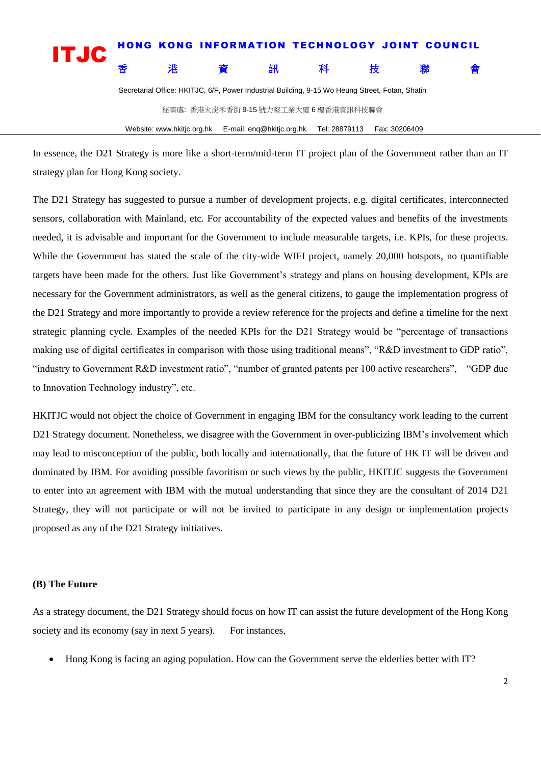| <b>ITJC</b> |                                                                                                 |   | HONG KONG INFORMATION TECHNOLOGY JOINT COUNCIL |     |   |   |   |   |
|-------------|-------------------------------------------------------------------------------------------------|---|------------------------------------------------|-----|---|---|---|---|
|             |                                                                                                 | 港 | 資                                              | 「訊」 | 科 | 枒 | 腦 | 會 |
|             | Secretarial Office: HKITJC, 6/F, Power Industrial Building, 9-15 Wo Heung Street, Fotan, Shatin |   |                                                |     |   |   |   |   |
|             |                                                                                                 |   | 秘書處: 香港火炭禾香街 9-15 號力堅工業大廈 6 樓香港資訊科技聯會          |     |   |   |   |   |

Website: www.hkitjc.org.hk E-mail: enq@hkitjc.org.hk Tel: 28879113 Fax: 30206409

In essence, the D21 Strategy is more like a short-term/mid-term IT project plan of the Government rather than an IT strategy plan for Hong Kong society.

The D21 Strategy has suggested to pursue a number of development projects, e.g. digital certificates, interconnected sensors, collaboration with Mainland, etc. For accountability of the expected values and benefits of the investments needed, it is advisable and important for the Government to include measurable targets, i.e. KPIs, for these projects. While the Government has stated the scale of the city-wide WIFI project, namely 20,000 hotspots, no quantifiable targets have been made for the others. Just like Government's strategy and plans on housing development, KPIs are necessary for the Government administrators, as well as the general citizens, to gauge the implementation progress of the D21 Strategy and more importantly to provide a review reference for the projects and define a timeline for the next strategic planning cycle. Examples of the needed KPIs for the D21 Strategy would be "percentage of transactions making use of digital certificates in comparison with those using traditional means", "R&D investment to GDP ratio", "industry to Government R&D investment ratio", "number of granted patents per 100 active researchers", "GDP due to Innovation Technology industry", etc.

HKITJC would not object the choice of Government in engaging IBM for the consultancy work leading to the current D21 Strategy document. Nonetheless, we disagree with the Government in over-publicizing IBM's involvement which may lead to misconception of the public, both locally and internationally, that the future of HK IT will be driven and dominated by IBM. For avoiding possible favoritism or such views by the public, HKITJC suggests the Government to enter into an agreement with IBM with the mutual understanding that since they are the consultant of 2014 D21 Strategy, they will not participate or will not be invited to participate in any design or implementation projects proposed as any of the D21 Strategy initiatives.

#### **(B) The Future**

As a strategy document, the D21 Strategy should focus on how IT can assist the future development of the Hong Kong society and its economy (say in next 5 years). For instances,

Hong Kong is facing an aging population. How can the Government serve the elderlies better with IT?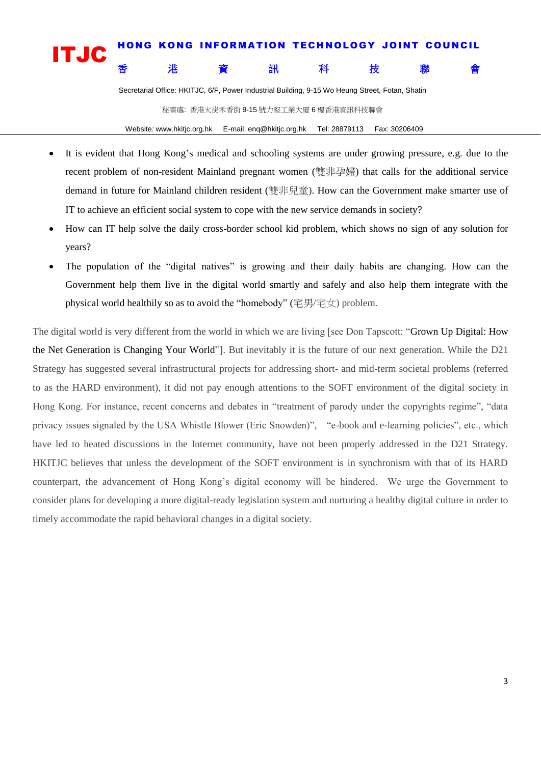# **it is a constructed in the set of the construction of the construction of the set of the set of the set of the**<br>
The set of the set of the set of the set of the set of the set of the set of the set of the set of the set 香港 資資 訊 科 技 聯 會

Secretarial Office: HKITJC, 6/F, Power Industrial Building, 9-15 Wo Heung Street, Fotan, Shatin

秘書處: 香港火炭禾香街 9-15 號力堅工業大廈 6 樓香港資訊科技聯會

Website: www.hkitjc.org.hk E-mail: enq@hkitjc.org.hk Tel: 28879113 Fax: 30206409

- It is evident that Hong Kong's medical and schooling systems are under growing pressure, e.g. due to the recent problem of non-resident Mainland pregnant women ([雙非孕婦](https://www.google.com.hk/search?safe=strict&biw=960&bih=453&q=%E9%9B%99%E9%9D%9E%E5%AD%95%E5%A9%A6&revid=649184996&sa=X&ei=ipaOUurCOKuSiQfttoH4Cw&ved=0CI8BENUCKAU)) that calls for the additional service demand in future for Mainland children resident (雙非兒童). How can the Government make smarter use of IT to achieve an efficient social system to cope with the new service demands in society?
- How can IT help solve the daily cross-border school kid problem, which shows no sign of any solution for years?
- The population of the "digital natives" is growing and their daily habits are changing. How can the Government help them live in the digital world smartly and safely and also help them integrate with the physical world healthily so as to avoid the "homebody" (字男/字女) problem.

The digital world is very different from the world in which we are living [see Don Tapscott: "Grown Up Digital: How the Net Generation is Changing Your World"]. But inevitably it is the future of our next generation. While the D21 Strategy has suggested several infrastructural projects for addressing short- and mid-term societal problems (referred to as the HARD environment), it did not pay enough attentions to the SOFT environment of the digital society in Hong Kong. For instance, recent concerns and debates in "treatment of parody under the copyrights regime", "data privacy issues signaled by the USA Whistle Blower (Eric Snowden)", "e-book and e-learning policies", etc., which have led to heated discussions in the Internet community, have not been properly addressed in the D21 Strategy. HKITJC believes that unless the development of the SOFT environment is in synchronism with that of its HARD counterpart, the advancement of Hong Kong's digital economy will be hindered. We urge the Government to consider plans for developing a more digital-ready legislation system and nurturing a healthy digital culture in order to timely accommodate the rapid behavioral changes in a digital society.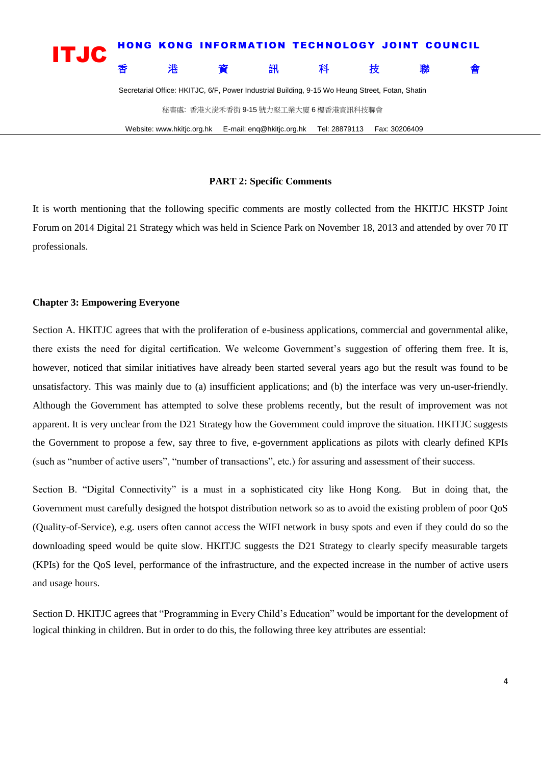

#### **PART 2: Specific Comments**

It is worth mentioning that the following specific comments are mostly collected from the HKITJC HKSTP Joint Forum on 2014 Digital 21 Strategy which was held in Science Park on November 18, 2013 and attended by over 70 IT professionals.

#### **Chapter 3: Empowering Everyone**

Section A. HKITJC agrees that with the proliferation of e-business applications, commercial and governmental alike, there exists the need for digital certification. We welcome Government's suggestion of offering them free. It is, however, noticed that similar initiatives have already been started several years ago but the result was found to be unsatisfactory. This was mainly due to (a) insufficient applications; and (b) the interface was very un-user-friendly. Although the Government has attempted to solve these problems recently, but the result of improvement was not apparent. It is very unclear from the D21 Strategy how the Government could improve the situation. HKITJC suggests the Government to propose a few, say three to five, e-government applications as pilots with clearly defined KPIs (such as "number of active users", "number of transactions", etc.) for assuring and assessment of their success.

Section B. "Digital Connectivity" is a must in a sophisticated city like Hong Kong. But in doing that, the Government must carefully designed the hotspot distribution network so as to avoid the existing problem of poor QoS (Quality-of-Service), e.g. users often cannot access the WIFI network in busy spots and even if they could do so the downloading speed would be quite slow. HKITJC suggests the D21 Strategy to clearly specify measurable targets (KPIs) for the QoS level, performance of the infrastructure, and the expected increase in the number of active users and usage hours.

Section D. HKITJC agrees that "Programming in Every Child's Education" would be important for the development of logical thinking in children. But in order to do this, the following three key attributes are essential: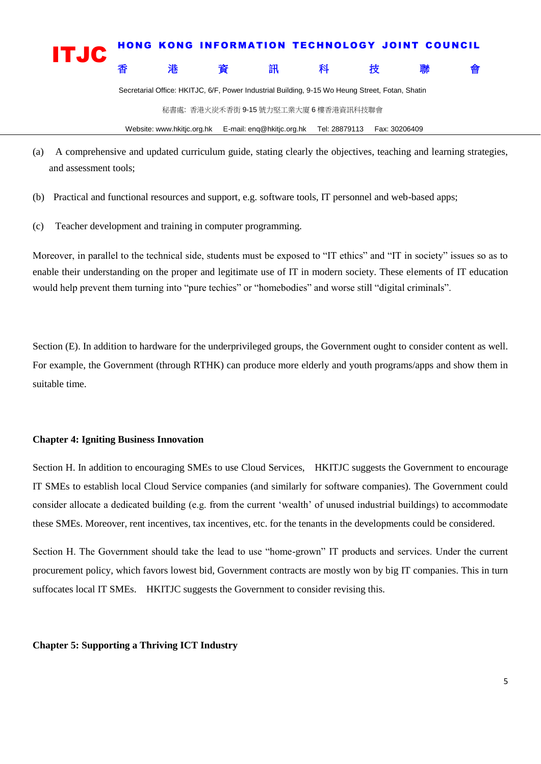

Secretarial Office: HKITJC, 6/F, Power Industrial Building, 9-15 Wo Heung Street, Fotan, Shatin

秘書處: 香港火炭禾香街 9-15 號力堅工業大廈 6 樓香港資訊科技聯會

Website: www.hkitjc.org.hk E-mail: enq@hkitjc.org.hk Tel: 28879113 Fax: 30206409

- (a) A comprehensive and updated curriculum guide, stating clearly the objectives, teaching and learning strategies, and assessment tools;
- (b) Practical and functional resources and support, e.g. software tools, IT personnel and web-based apps;
- (c) Teacher development and training in computer programming.

Moreover, in parallel to the technical side, students must be exposed to "IT ethics" and "IT in society" issues so as to enable their understanding on the proper and legitimate use of IT in modern society. These elements of IT education would help prevent them turning into "pure techies" or "homebodies" and worse still "digital criminals".

Section (E). In addition to hardware for the underprivileged groups, the Government ought to consider content as well. For example, the Government (through RTHK) can produce more elderly and youth programs/apps and show them in suitable time.

#### **Chapter 4: Igniting Business Innovation**

Section H. In addition to encouraging SMEs to use Cloud Services, HKITJC suggests the Government to encourage IT SMEs to establish local Cloud Service companies (and similarly for software companies). The Government could consider allocate a dedicated building (e.g. from the current 'wealth' of unused industrial buildings) to accommodate these SMEs. Moreover, rent incentives, tax incentives, etc. for the tenants in the developments could be considered.

Section H. The Government should take the lead to use "home-grown" IT products and services. Under the current procurement policy, which favors lowest bid, Government contracts are mostly won by big IT companies. This in turn suffocates local IT SMEs. HKITJC suggests the Government to consider revising this.

#### **Chapter 5: Supporting a Thriving ICT Industry**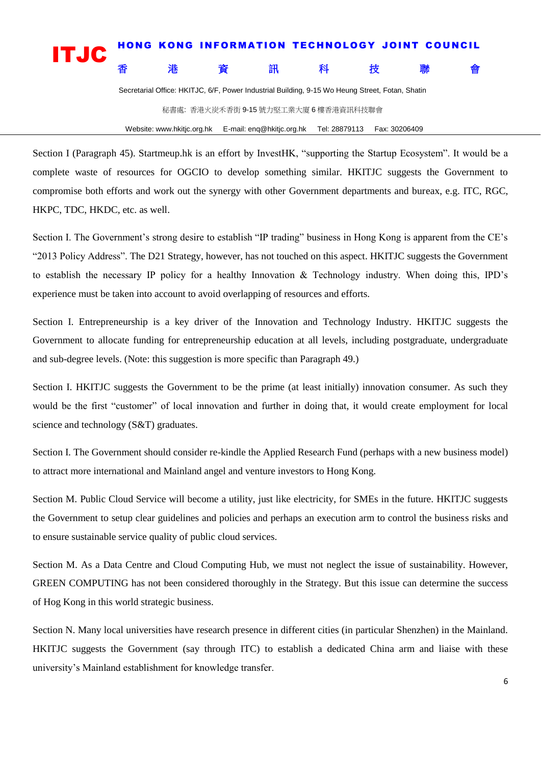## **it is a constructed a constructed a construction of the construction of the construction of the construction o**<br> **it is a constructed a constructed a** construction a construction of the construction of the construction o 香港 資資 訊 科 技 聯 會

Secretarial Office: HKITJC, 6/F, Power Industrial Building, 9-15 Wo Heung Street, Fotan, Shatin

秘書處: 香港火炭禾香街 9-15 號力堅工業大廈 6 樓香港資訊科技聯會

Website: www.hkitjc.org.hk E-mail: enq@hkitjc.org.hk Tel: 28879113 Fax: 30206409

Section I (Paragraph 45). Startmeup.hk is an effort by InvestHK, "supporting the Startup Ecosystem". It would be a complete waste of resources for OGCIO to develop something similar. HKITJC suggests the Government to compromise both efforts and work out the synergy with other Government departments and bureax, e.g. ITC, RGC, HKPC, TDC, HKDC, etc. as well.

Section I. The Government's strong desire to establish "IP trading" business in Hong Kong is apparent from the CE's "2013 Policy Address". The D21 Strategy, however, has not touched on this aspect. HKITJC suggests the Government to establish the necessary IP policy for a healthy Innovation & Technology industry. When doing this, IPD's experience must be taken into account to avoid overlapping of resources and efforts.

Section I. Entrepreneurship is a key driver of the Innovation and Technology Industry. HKITJC suggests the Government to allocate funding for entrepreneurship education at all levels, including postgraduate, undergraduate and sub-degree levels. (Note: this suggestion is more specific than Paragraph 49.)

Section I. HKITJC suggests the Government to be the prime (at least initially) innovation consumer. As such they would be the first "customer" of local innovation and further in doing that, it would create employment for local science and technology (S&T) graduates.

Section I. The Government should consider re-kindle the Applied Research Fund (perhaps with a new business model) to attract more international and Mainland angel and venture investors to Hong Kong.

Section M. Public Cloud Service will become a utility, just like electricity, for SMEs in the future. HKITJC suggests the Government to setup clear guidelines and policies and perhaps an execution arm to control the business risks and to ensure sustainable service quality of public cloud services.

Section M. As a Data Centre and Cloud Computing Hub, we must not neglect the issue of sustainability. However, GREEN COMPUTING has not been considered thoroughly in the Strategy. But this issue can determine the success of Hog Kong in this world strategic business.

Section N. Many local universities have research presence in different cities (in particular Shenzhen) in the Mainland. HKITJC suggests the Government (say through ITC) to establish a dedicated China arm and liaise with these university's Mainland establishment for knowledge transfer.